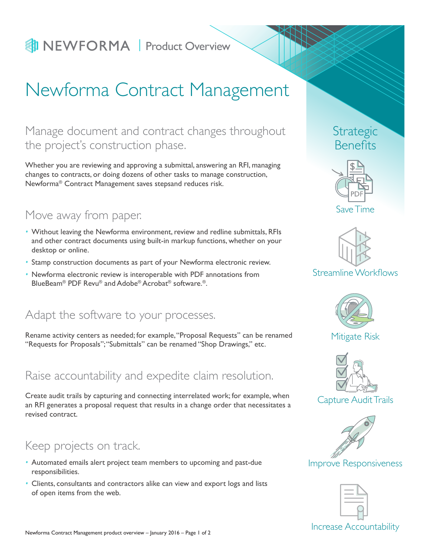# **Product Overview**

# Newforma Contract Management

## Manage document and contract changes throughout the project's construction phase.

Whether you are reviewing and approving a submittal, answering an RFI, managing changes to contracts, or doing dozens of other tasks to manage construction, Newforma® Contract Management saves stepsand reduces risk.

## Move away from paper.

- *•* Without leaving the Newforma environment, review and redline submittals, RFIs and other contract documents using built-in markup functions, whether on your desktop or online.
- *•* Stamp construction documents as part of your Newforma electronic review.
- *•* Newforma electronic review is interoperable with PDF annotations from BlueBeam® PDF Revu® and Adobe® Acrobat® software.®.

## Adapt the software to your processes.

Rename activity centers as needed; for example, "Proposal Requests" can be renamed "Requests for Proposals"; "Submittals" can be renamed "Shop Drawings," etc.

## Raise accountability and expedite claim resolution.

Create audit trails by capturing and connecting interrelated work; for example, when an RFI generates a proposal request that results in a change order that necessitates a revised contract.

## Keep projects on track.

- *•* Automated emails alert project team members to upcoming and past-due responsibilities.
- *•* Clients, consultants and contractors alike can view and export logs and lists of open items from the web.

## Strategic Benefits



Save Time



#### Streamline Workflows



#### Mitigate Risk



Capture Audit Trails



### Improve Responsiveness